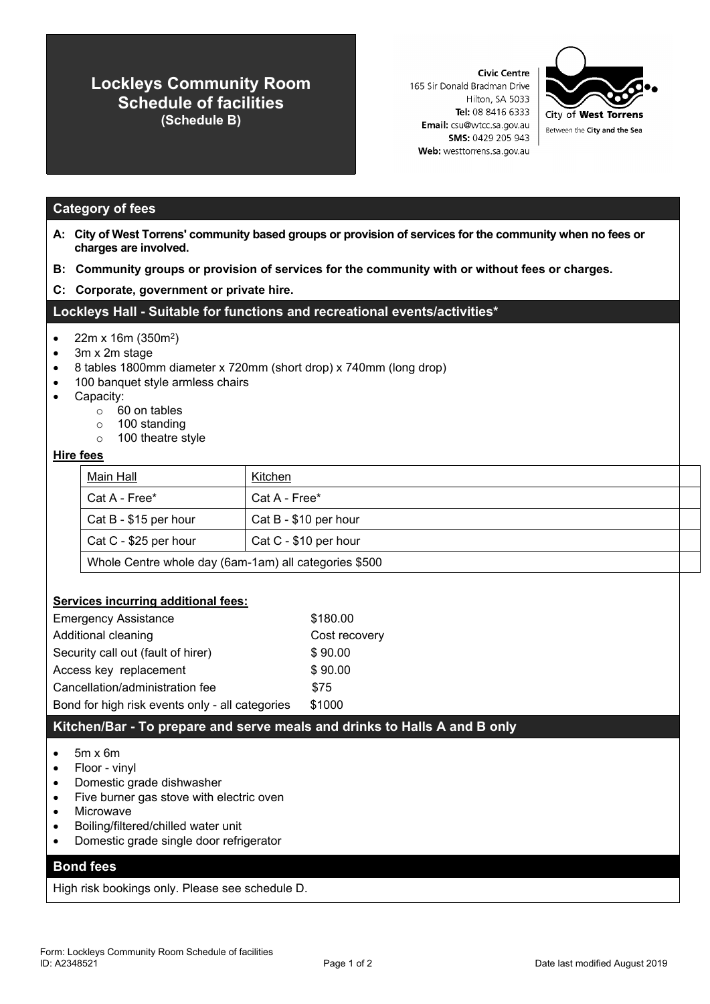# **Lockleys Community Room Schedule of facilities (Schedule B)**

**Civic Centre** 165 Sir Donald Bradman Drive Hilton, SA 5033 Tel: 08 8416 6333 Email: csu@wtcc.sa.gov.au SMS: 0429 205 943 Web: westtorrens.sa.gov.au



# **Category of fees**

- A: City of West Torrens' community based groups or provision of services for the community when no fees or **charges are involved.**
- **B: Community groups or provision of services for the community with or without fees or charges.**
- **C: Corporate, government or private hire.**

## **Lockleys Hall - Suitable for functions and recreational events/activities\***

- 22m x 16m (350m<sup>2</sup>)
- 3m x 2m stage
- 8 tables 1800mm diameter x 720mm (short drop) x 740mm (long drop)
- 100 banquet style armless chairs
- Capacity:
	- o 60 on tables
	- o 100 standing
	- o 100 theatre style

#### **Hire fees**

| Main Hall                                             | Kitchen               |  |
|-------------------------------------------------------|-----------------------|--|
| Cat A - Free*                                         | Cat A - Free*         |  |
| $\vert$ Cat B - \$15 per hour                         | Cat B - \$10 per hour |  |
| Cat C - \$25 per hour                                 | Cat C - \$10 per hour |  |
| Whole Centre whole day (6am-1am) all categories \$500 |                       |  |

#### **Services incurring additional fees:**

| <b>Emergency Assistance</b>                     | \$180.00      |
|-------------------------------------------------|---------------|
| Additional cleaning                             | Cost recovery |
| Security call out (fault of hirer)              | \$90.00       |
| Access key replacement                          | \$90.00       |
| Cancellation/administration fee                 | \$75          |
| Bond for high risk events only - all categories | \$1000        |

## **Kitchen/Bar - To prepare and serve meals and drinks to Halls A and B only**

#### $\bullet$  5m x 6m

- Floor vinyl
- Domestic grade dishwasher
- Five burner gas stove with electric oven
- Microwave
- Boiling/filtered/chilled water unit
- Domestic grade single door refrigerator

## **Bond fees**

High risk bookings only. Please see schedule D.